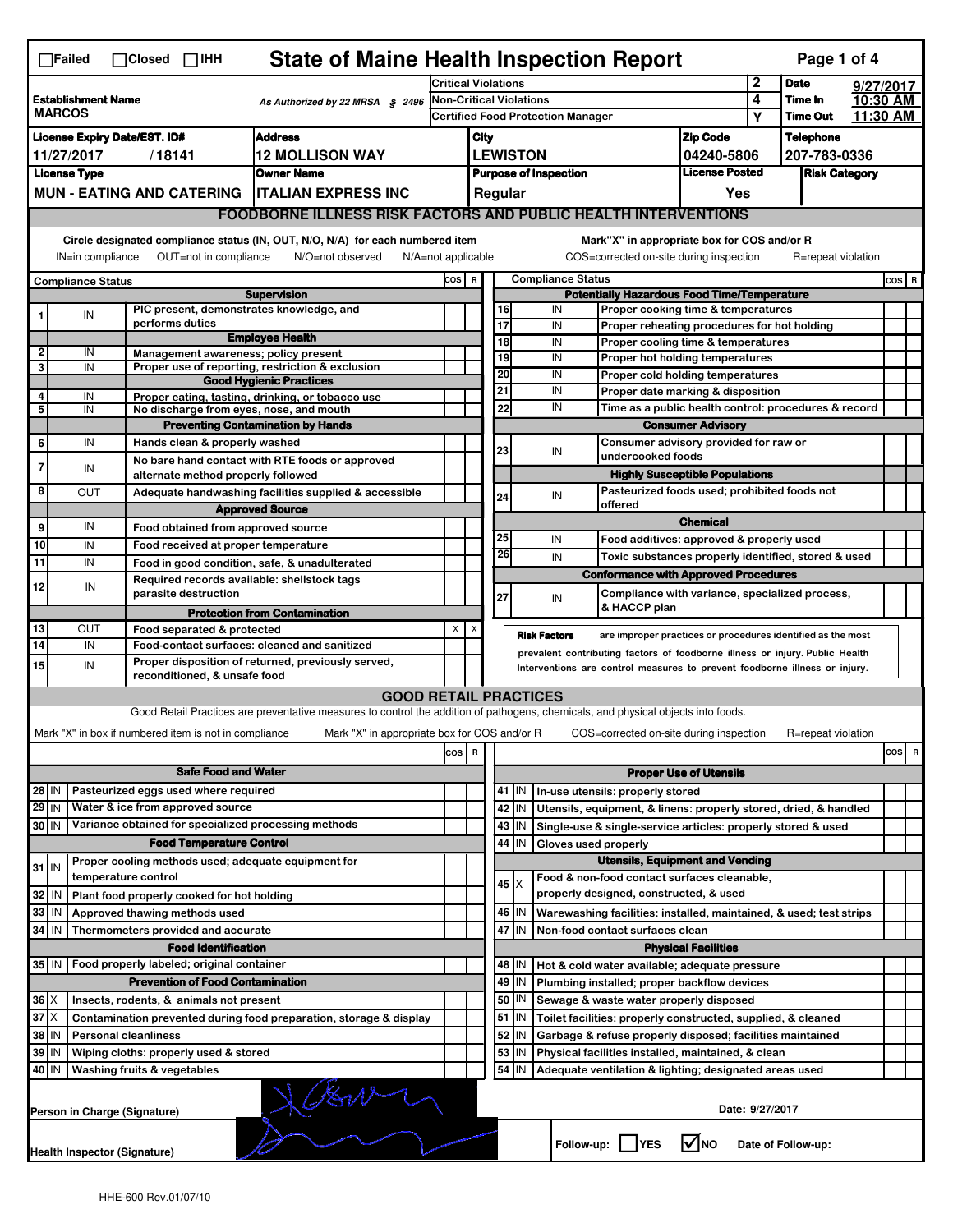|                              | $\Box$ Failed                              |                  | $\Box$ Closed $\Box$ IHH                              | <b>State of Maine Health Inspection Report</b>                                                                                    |                            |      |         |                         |                                          |                                                                                          |                                     |                 | Page 1 of 4                |                      |
|------------------------------|--------------------------------------------|------------------|-------------------------------------------------------|-----------------------------------------------------------------------------------------------------------------------------------|----------------------------|------|---------|-------------------------|------------------------------------------|------------------------------------------------------------------------------------------|-------------------------------------|-----------------|----------------------------|----------------------|
|                              |                                            |                  |                                                       |                                                                                                                                   | <b>Critical Violations</b> |      |         |                         |                                          |                                                                                          |                                     | 2               | <b>Date</b>                | 9/27/2017            |
|                              | <b>Establishment Name</b><br><b>MARCOS</b> |                  |                                                       | As Authorized by 22 MRSA § 2496                                                                                                   |                            |      |         | Non-Critical Violations |                                          |                                                                                          |                                     | 4               | Time In<br><b>Time Out</b> | 10:30 AM<br>11:30 AM |
|                              |                                            |                  |                                                       |                                                                                                                                   |                            |      |         |                         | <b>Certified Food Protection Manager</b> |                                                                                          |                                     | Υ               |                            |                      |
|                              |                                            |                  | <b>License Expiry Date/EST. ID#</b>                   | <b>Address</b>                                                                                                                    |                            | City |         |                         |                                          |                                                                                          | <b>Zip Code</b>                     |                 | <b>Telephone</b>           |                      |
|                              | 11/27/2017                                 |                  | /18141                                                | <b>12 MOLLISON WAY</b>                                                                                                            |                            |      |         | <b>LEWISTON</b>         |                                          |                                                                                          | 04240-5806<br><b>License Posted</b> |                 | 207-783-0336               |                      |
|                              | <b>License Type</b>                        |                  |                                                       | <b>Owner Name</b>                                                                                                                 |                            |      |         |                         | <b>Purpose of Inspection</b>             |                                                                                          |                                     |                 | <b>Risk Category</b>       |                      |
|                              |                                            |                  | <b>MUN - EATING AND CATERING</b>                      | <b>ITALIAN EXPRESS INC</b>                                                                                                        |                            |      | Regular |                         |                                          |                                                                                          | Yes                                 |                 |                            |                      |
|                              |                                            |                  |                                                       | <b>FOODBORNE ILLNESS RISK FACTORS AND PUBLIC HEALTH INTERVENTIONS</b>                                                             |                            |      |         |                         |                                          |                                                                                          |                                     |                 |                            |                      |
|                              |                                            |                  |                                                       | Circle designated compliance status (IN, OUT, N/O, N/A) for each numbered item                                                    |                            |      |         |                         |                                          | Mark"X" in appropriate box for COS and/or R                                              |                                     |                 |                            |                      |
|                              |                                            | IN=in compliance | OUT=not in compliance                                 | N/O=not observed<br>$N/A = not$ applicable                                                                                        |                            |      |         |                         |                                          | COS=corrected on-site during inspection                                                  |                                     |                 | R=repeat violation         |                      |
|                              | <b>Compliance Status</b>                   |                  |                                                       |                                                                                                                                   | COS R                      |      |         |                         | <b>Compliance Status</b>                 |                                                                                          |                                     |                 |                            | $cos$ R              |
|                              |                                            |                  | PIC present, demonstrates knowledge, and              | <b>Supervision</b>                                                                                                                |                            |      | 16      |                         | IN                                       | <b>Potentially Hazardous Food Time/Temperature</b><br>Proper cooking time & temperatures |                                     |                 |                            |                      |
|                              | IN                                         |                  | performs duties                                       |                                                                                                                                   |                            |      | 17      |                         | IN                                       | Proper reheating procedures for hot holding                                              |                                     |                 |                            |                      |
|                              |                                            |                  |                                                       | <b>Employee Health</b>                                                                                                            |                            |      | 18      |                         | IN                                       | Proper cooling time & temperatures                                                       |                                     |                 |                            |                      |
| $\overline{\mathbf{2}}$<br>3 | IN<br>IN                                   |                  | Management awareness; policy present                  | Proper use of reporting, restriction & exclusion                                                                                  |                            |      | 19      |                         | IN                                       | <b>Proper hot holding temperatures</b>                                                   |                                     |                 |                            |                      |
|                              |                                            |                  |                                                       | <b>Good Hygienic Practices</b>                                                                                                    |                            |      | 20      |                         | IN                                       | Proper cold holding temperatures                                                         |                                     |                 |                            |                      |
| 4                            | IN                                         |                  |                                                       | Proper eating, tasting, drinking, or tobacco use                                                                                  |                            |      | 21      |                         | IN                                       | Proper date marking & disposition                                                        |                                     |                 |                            |                      |
| 5                            | IN                                         |                  | No discharge from eyes, nose, and mouth               |                                                                                                                                   |                            |      | 22      |                         | IN                                       | Time as a public health control: procedures & record                                     |                                     |                 |                            |                      |
|                              |                                            |                  |                                                       | <b>Preventing Contamination by Hands</b>                                                                                          |                            |      |         |                         |                                          |                                                                                          | <b>Consumer Advisory</b>            |                 |                            |                      |
| 6                            | IN                                         |                  | Hands clean & properly washed                         |                                                                                                                                   |                            |      | 23      |                         | IN                                       | Consumer advisory provided for raw or<br>undercooked foods                               |                                     |                 |                            |                      |
| 7                            | IN                                         |                  | alternate method properly followed                    | No bare hand contact with RTE foods or approved                                                                                   |                            |      |         |                         |                                          | <b>Highly Susceptible Populations</b>                                                    |                                     |                 |                            |                      |
| 8                            | OUT                                        |                  |                                                       | Adequate handwashing facilities supplied & accessible                                                                             |                            |      |         |                         |                                          | Pasteurized foods used; prohibited foods not                                             |                                     |                 |                            |                      |
|                              |                                            |                  |                                                       | <b>Approved Source</b>                                                                                                            |                            |      | 24      |                         | IN                                       | offered                                                                                  |                                     |                 |                            |                      |
| 9                            | IN                                         |                  | Food obtained from approved source                    |                                                                                                                                   |                            |      |         |                         |                                          |                                                                                          | <b>Chemical</b>                     |                 |                            |                      |
| 10                           | IN                                         |                  | Food received at proper temperature                   |                                                                                                                                   |                            |      | 25      |                         | IN                                       | Food additives: approved & properly used                                                 |                                     |                 |                            |                      |
| 11                           | IN                                         |                  | Food in good condition, safe, & unadulterated         |                                                                                                                                   |                            |      | 26      |                         | IN                                       | Toxic substances properly identified, stored & used                                      |                                     |                 |                            |                      |
|                              |                                            |                  | Required records available: shellstock tags           |                                                                                                                                   |                            |      |         |                         |                                          | <b>Conformance with Approved Procedures</b>                                              |                                     |                 |                            |                      |
| 12                           |                                            | IN               | parasite destruction                                  |                                                                                                                                   |                            |      | 27      |                         | IN                                       | Compliance with variance, specialized process,                                           |                                     |                 |                            |                      |
|                              |                                            |                  |                                                       | <b>Protection from Contamination</b>                                                                                              |                            |      |         |                         |                                          | & HACCP plan                                                                             |                                     |                 |                            |                      |
| 13                           | ΟUΤ                                        |                  | Food separated & protected                            |                                                                                                                                   | X                          | X    |         |                         | <b>Risk Factors</b>                      | are improper practices or procedures identified as the most                              |                                     |                 |                            |                      |
| 14                           | IN                                         |                  | Food-contact surfaces: cleaned and sanitized          |                                                                                                                                   |                            |      |         |                         |                                          | prevalent contributing factors of foodborne illness or injury. Public Health             |                                     |                 |                            |                      |
| 15                           | IN                                         |                  | reconditioned, & unsafe food                          | Proper disposition of returned, previously served,                                                                                |                            |      |         |                         |                                          | Interventions are control measures to prevent foodborne illness or injury.               |                                     |                 |                            |                      |
|                              |                                            |                  |                                                       | <b>GOOD RETAIL PRACTICES</b>                                                                                                      |                            |      |         |                         |                                          |                                                                                          |                                     |                 |                            |                      |
|                              |                                            |                  |                                                       | Good Retail Practices are preventative measures to control the addition of pathogens, chemicals, and physical objects into foods. |                            |      |         |                         |                                          |                                                                                          |                                     |                 |                            |                      |
|                              |                                            |                  | Mark "X" in box if numbered item is not in compliance | Mark "X" in appropriate box for COS and/or R                                                                                      |                            |      |         |                         |                                          | COS=corrected on-site during inspection                                                  |                                     |                 | R=repeat violation         |                      |
|                              |                                            |                  |                                                       |                                                                                                                                   | $cos$ R                    |      |         |                         |                                          |                                                                                          |                                     |                 |                            | cosl<br>R            |
|                              |                                            |                  | <b>Safe Food and Water</b>                            |                                                                                                                                   |                            |      |         |                         |                                          |                                                                                          | <b>Proper Use of Utensils</b>       |                 |                            |                      |
| $28$ IN                      |                                            |                  | Pasteurized eggs used where required                  |                                                                                                                                   |                            |      | $41$ IN |                         |                                          | In-use utensils: properly stored                                                         |                                     |                 |                            |                      |
| $29$ IN                      |                                            |                  | Water & ice from approved source                      |                                                                                                                                   |                            |      | 42      | IN                      |                                          | Utensils, equipment, & linens: properly stored, dried, & handled                         |                                     |                 |                            |                      |
| 30 IN                        |                                            |                  | Variance obtained for specialized processing methods  |                                                                                                                                   |                            |      | 43      | IN                      |                                          | Single-use & single-service articles: properly stored & used                             |                                     |                 |                            |                      |
|                              |                                            |                  | <b>Food Temperature Control</b>                       |                                                                                                                                   |                            |      | 44      | IN                      |                                          | Gloves used properly                                                                     |                                     |                 |                            |                      |
| $31$ IN                      |                                            |                  | Proper cooling methods used; adequate equipment for   |                                                                                                                                   |                            |      |         |                         |                                          | <b>Utensils, Equipment and Vending</b>                                                   |                                     |                 |                            |                      |
|                              |                                            |                  | temperature control                                   |                                                                                                                                   |                            |      | 45 X    |                         |                                          | Food & non-food contact surfaces cleanable,                                              |                                     |                 |                            |                      |
| $32$ IN                      |                                            |                  | Plant food properly cooked for hot holding            |                                                                                                                                   |                            |      |         |                         |                                          | properly designed, constructed, & used                                                   |                                     |                 |                            |                      |
| 33                           | IN                                         |                  | Approved thawing methods used                         |                                                                                                                                   |                            |      | 46      | IN                      |                                          | Warewashing facilities: installed, maintained, & used; test strips                       |                                     |                 |                            |                      |
| 34 IN                        |                                            |                  | Thermometers provided and accurate                    |                                                                                                                                   |                            |      | 47 IN   |                         |                                          | Non-food contact surfaces clean                                                          |                                     |                 |                            |                      |
|                              |                                            |                  | <b>Food Identification</b>                            |                                                                                                                                   |                            |      |         |                         |                                          |                                                                                          | <b>Physical Facilities</b>          |                 |                            |                      |
|                              |                                            |                  | 35   IN   Food properly labeled; original container   |                                                                                                                                   |                            |      | 48 I IN |                         |                                          | Hot & cold water available; adequate pressure                                            |                                     |                 |                            |                      |
|                              |                                            |                  | <b>Prevention of Food Contamination</b>               |                                                                                                                                   |                            |      | 49      | IN                      |                                          | Plumbing installed; proper backflow devices                                              |                                     |                 |                            |                      |
| $36$ $\times$                |                                            |                  | Insects, rodents, & animals not present               |                                                                                                                                   |                            |      | 50   IN |                         |                                          | Sewage & waste water properly disposed                                                   |                                     |                 |                            |                      |
| 37                           | ΙX                                         |                  |                                                       | Contamination prevented during food preparation, storage & display                                                                |                            |      | $51$ M  |                         |                                          | Toilet facilities: properly constructed, supplied, & cleaned                             |                                     |                 |                            |                      |
| 38                           | IN                                         |                  | <b>Personal cleanliness</b>                           |                                                                                                                                   |                            |      | 52      | IN                      |                                          | Garbage & refuse properly disposed; facilities maintained                                |                                     |                 |                            |                      |
| 39                           | IN                                         |                  | Wiping cloths: properly used & stored                 |                                                                                                                                   |                            |      | 53      | IN                      |                                          | Physical facilities installed, maintained, & clean                                       |                                     |                 |                            |                      |
| 40 IN                        |                                            |                  | Washing fruits & vegetables                           |                                                                                                                                   |                            |      | 54      | IN                      |                                          | Adequate ventilation & lighting; designated areas used                                   |                                     |                 |                            |                      |
|                              |                                            |                  | Person in Charge (Signature)                          |                                                                                                                                   |                            |      |         |                         |                                          |                                                                                          |                                     | Date: 9/27/2017 |                            |                      |
|                              |                                            |                  | <b>Health Inspector (Signature)</b>                   |                                                                                                                                   |                            |      |         |                         |                                          | Follow-up:     YES                                                                       | l√lno                               |                 | Date of Follow-up:         |                      |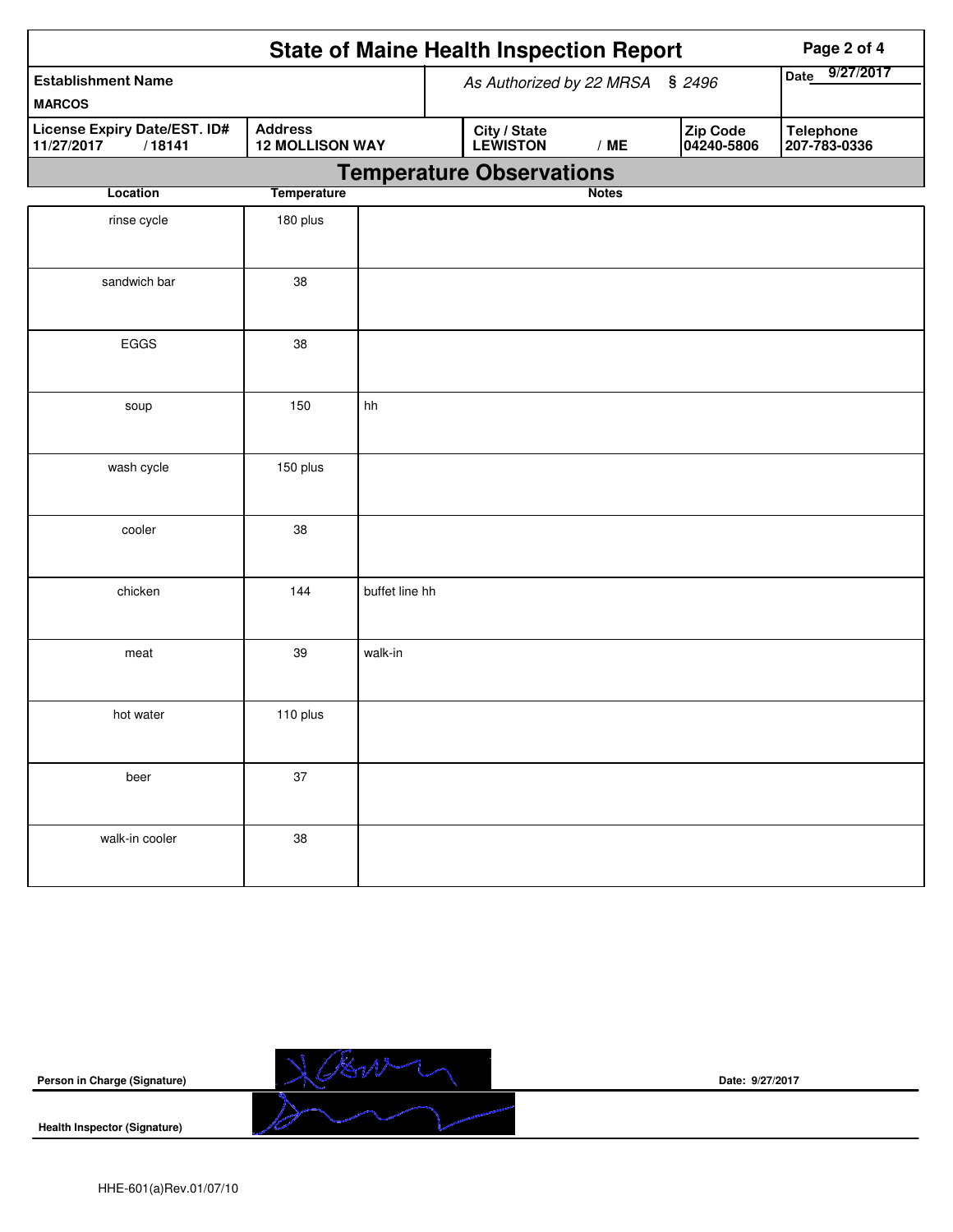|                                                      |                                          |                | <b>State of Maine Health Inspection Report</b> |              |                        | Page 2 of 4                      |
|------------------------------------------------------|------------------------------------------|----------------|------------------------------------------------|--------------|------------------------|----------------------------------|
| <b>Establishment Name</b><br><b>MARCOS</b>           |                                          |                | As Authorized by 22 MRSA § 2496                |              |                        | 9/27/2017<br><b>Date</b>         |
| License Expiry Date/EST. ID#<br>/18141<br>11/27/2017 | <b>Address</b><br><b>12 MOLLISON WAY</b> |                | City / State<br>LEWISTON                       | /ME          | Zip Code<br>04240-5806 | <b>Telephone</b><br>207-783-0336 |
|                                                      |                                          |                | <b>Temperature Observations</b>                |              |                        |                                  |
| Location                                             | <b>Temperature</b>                       |                |                                                | <b>Notes</b> |                        |                                  |
| rinse cycle                                          | 180 plus                                 |                |                                                |              |                        |                                  |
| sandwich bar                                         | 38                                       |                |                                                |              |                        |                                  |
| EGGS                                                 | 38                                       |                |                                                |              |                        |                                  |
| soup                                                 | 150                                      | hh             |                                                |              |                        |                                  |
| wash cycle                                           | 150 plus                                 |                |                                                |              |                        |                                  |
| cooler                                               | 38                                       |                |                                                |              |                        |                                  |
| chicken                                              | 144                                      | buffet line hh |                                                |              |                        |                                  |
| meat                                                 | 39                                       | walk-in        |                                                |              |                        |                                  |
| hot water                                            | 110 plus                                 |                |                                                |              |                        |                                  |
| beer                                                 | 37                                       |                |                                                |              |                        |                                  |
| walk-in cooler                                       | 38                                       |                |                                                |              |                        |                                  |

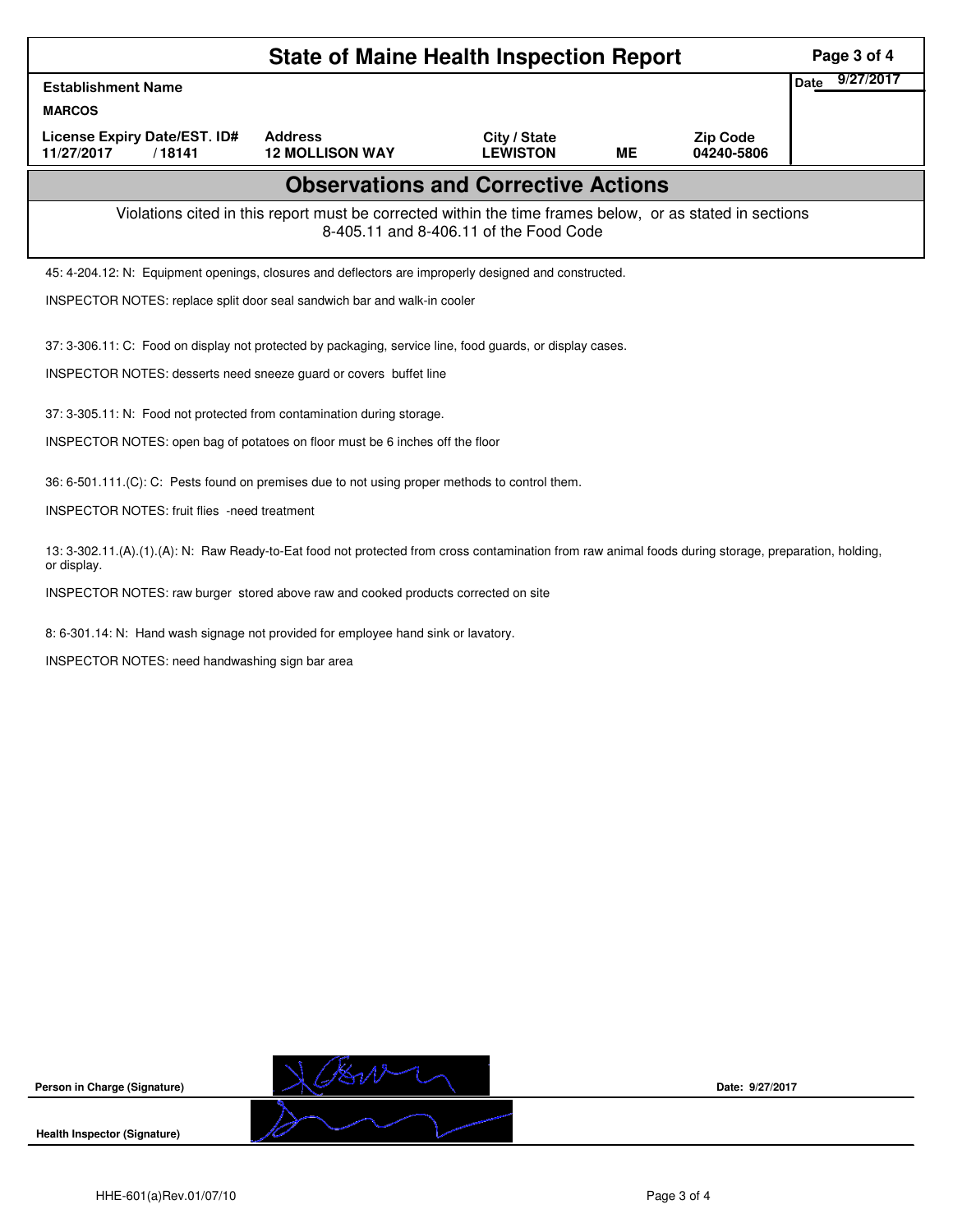|                                                        | <b>State of Maine Health Inspection Report</b>                                                                                                                                 |                                        |           |                               | Page 3 of 4              |
|--------------------------------------------------------|--------------------------------------------------------------------------------------------------------------------------------------------------------------------------------|----------------------------------------|-----------|-------------------------------|--------------------------|
| <b>Establishment Name</b>                              |                                                                                                                                                                                |                                        |           |                               | 9/27/2017<br><b>Date</b> |
| <b>MARCOS</b>                                          |                                                                                                                                                                                |                                        |           |                               |                          |
| License Expiry Date/EST. ID#<br>11/27/2017<br>/18141   | <b>Address</b><br><b>12 MOLLISON WAY</b>                                                                                                                                       | City / State<br><b>LEWISTON</b>        | <b>ME</b> | <b>Zip Code</b><br>04240-5806 |                          |
|                                                        | <b>Observations and Corrective Actions</b>                                                                                                                                     |                                        |           |                               |                          |
|                                                        | Violations cited in this report must be corrected within the time frames below, or as stated in sections                                                                       | 8-405.11 and 8-406.11 of the Food Code |           |                               |                          |
|                                                        | 45: 4-204.12: N: Equipment openings, closures and deflectors are improperly designed and constructed.                                                                          |                                        |           |                               |                          |
|                                                        | INSPECTOR NOTES: replace split door seal sandwich bar and walk-in cooler                                                                                                       |                                        |           |                               |                          |
|                                                        | 37: 3-306.11: C: Food on display not protected by packaging, service line, food guards, or display cases.<br>INSPECTOR NOTES: desserts need sneeze guard or covers buffet line |                                        |           |                               |                          |
|                                                        | 37: 3-305.11: N: Food not protected from contamination during storage.                                                                                                         |                                        |           |                               |                          |
|                                                        | INSPECTOR NOTES: open bag of potatoes on floor must be 6 inches off the floor                                                                                                  |                                        |           |                               |                          |
| <b>INSPECTOR NOTES: fruit flies -need treatment</b>    | 36: 6-501.111.(C): C: Pests found on premises due to not using proper methods to control them.                                                                                 |                                        |           |                               |                          |
| or display.                                            | 13: 3-302.11.(A).(1).(A): N: Raw Ready-to-Eat food not protected from cross contamination from raw animal foods during storage, preparation, holding,                          |                                        |           |                               |                          |
|                                                        | INSPECTOR NOTES: raw burger stored above raw and cooked products corrected on site                                                                                             |                                        |           |                               |                          |
| <b>INSPECTOR NOTES: need handwashing sign bar area</b> | 8: 6-301.14: N: Hand wash signage not provided for employee hand sink or lavatory.                                                                                             |                                        |           |                               |                          |



**Date: 9/27/2017**

**Health Inspector (Signature)** 

**Person in Charge (Signature)**